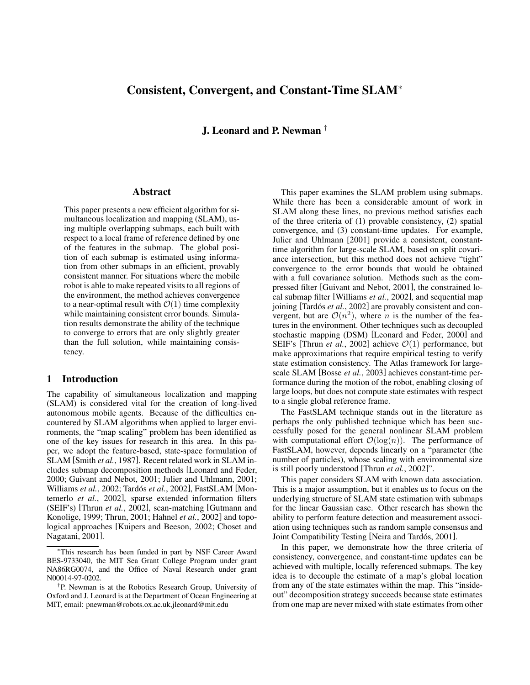# **Consistent, Convergent, and Constant-Time SLAM**<sup>∗</sup>

**J. Leonard and P. Newman** †

### **Abstract**

This paper presents a new efficient algorithm for simultaneous localization and mapping (SLAM), using multiple overlapping submaps, each built with respect to a local frame of reference defined by one of the features in the submap. The global position of each submap is estimated using information from other submaps in an efficient, provably consistent manner. For situations where the mobile robot is able to make repeated visits to all regions of the environment, the method achieves convergence to a near-optimal result with  $\mathcal{O}(1)$  time complexity while maintaining consistent error bounds. Simulation results demonstrate the ability of the technique to converge to errors that are only slightly greater than the full solution, while maintaining consistency.

## **1 Introduction**

The capability of simultaneous localization and mapping (SLAM) is considered vital for the creation of long-lived autonomous mobile agents. Because of the difficulties encountered by SLAM algorithms when applied to larger environments, the "map scaling" problem has been identified as one of the key issues for research in this area. In this paper, we adopt the feature-based, state-space formulation of SLAM [Smith *et al.*, 1987]. Recent related work in SLAM includes submap decomposition methods [Leonard and Feder, 2000; Guivant and Nebot, 2001; Julier and Uhlmann, 2001; Williams et al., 2002; Tardós et al., 2002], FastSLAM [Montemerlo *et al.*, 2002], sparse extended information filters (SEIF's) [Thrun *et al.*, 2002], scan-matching [Gutmann and Konolige, 1999; Thrun, 2001; Hahnel *et al.*, 2002] and topological approaches [Kuipers and Beeson, 2002; Choset and Nagatani, 2001].

This paper examines the SLAM problem using submaps. While there has been a considerable amount of work in SLAM along these lines, no previous method satisfies each of the three criteria of (1) provable consistency, (2) spatial convergence, and (3) constant-time updates. For example, Julier and Uhlmann [2001] provide a consistent, constanttime algorithm for large-scale SLAM, based on split covariance intersection, but this method does not achieve "tight" convergence to the error bounds that would be obtained with a full covariance solution. Methods such as the compressed filter [Guivant and Nebot, 2001], the constrained local submap filter [Williams *et al.*, 2002], and sequential map joining [Tardós *et al.*, 2002] are provably consistent and convergent, but are  $\mathcal{O}(n^2)$ , where *n* is the number of the features in the environment. Other techniques such as decoupled stochastic mapping (DSM) [Leonard and Feder, 2000] and SEIF's [Thrun *et al.*, 2002] achieve  $\mathcal{O}(1)$  performance, but make approximations that require empirical testing to verify state estimation consistency. The Atlas framework for largescale SLAM [Bosse *et al.*, 2003] achieves constant-time performance during the motion of the robot, enabling closing of large loops, but does not compute state estimates with respect to a single global reference frame.

The FastSLAM technique stands out in the literature as perhaps the only published technique which has been successfully posed for the general nonlinear SLAM problem with computational effort  $\mathcal{O}(\log(n))$ . The performance of FastSLAM, however, depends linearly on a "parameter (the number of particles), whose scaling with environmental size is still poorly understood [Thrun *et al.*, 2002]".

This paper considers SLAM with known data association. This is a major assumption, but it enables us to focus on the underlying structure of SLAM state estimation with submaps for the linear Gaussian case. Other research has shown the ability to perform feature detection and measurement association using techniques such as random sample consensus and Joint Compatibility Testing [Neira and Tardós, 2001].

In this paper, we demonstrate how the three criteria of consistency, convergence, and constant-time updates can be achieved with multiple, locally referenced submaps. The key idea is to decouple the estimate of a map's global location from any of the state estimates within the map. This "insideout" decomposition strategy succeeds because state estimates from one map are never mixed with state estimates from other

This research has been funded in part by NSF Career Award BES-9733040, the MIT Sea Grant College Program under grant NA86RG0074, and the Office of Naval Research under grant N00014-97-0202.

<sup>†</sup> P. Newman is at the Robotics Research Group, University of Oxford and J. Leonard is at the Department of Ocean Engineering at MIT, email: pnewman@robots.ox.ac.uk,jleonard@mit.edu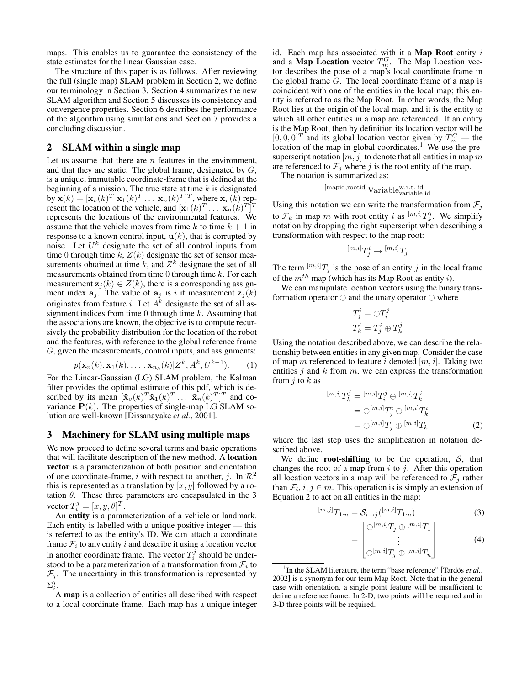maps. This enables us to guarantee the consistency of the state estimates for the linear Gaussian case.

The structure of this paper is as follows. After reviewing the full (single map) SLAM problem in Section 2, we define our terminology in Section 3. Section 4 summarizes the new SLAM algorithm and Section 5 discusses its consistency and convergence properties. Section 6 describes the performance of the algorithm using simulations and Section 7 provides a concluding discussion.

# **2 SLAM within a single map**

Let us assume that there are  $n$  features in the environment, and that they are static. The global frame, designated by  $G$ , is a unique, immutable coordinate-frame that is defined at the beginning of a mission. The true state at time  $k$  is designated by  $\mathbf{x}(k) = [\mathbf{x}_v(k)^T \ \mathbf{x}_1(k)^T \dots \ \mathbf{x}_n(k)^T]^T$ , where  $\mathbf{x}_v(k)$  represent the location of the vehicle, and  $[\mathbf{x}_1(k)^T \dots \mathbf{x}_n(k)^T]^T$ represents the locations of the environmental features. We assume that the vehicle moves from time  $k$  to time  $k + 1$  in response to a known control input,  $\mathbf{u}(k)$ , that is corrupted by noise. Let  $U^k$  designate the set of all control inputs from time 0 through time k,  $Z(k)$  designate the set of sensor measurements obtained at time k, and  $Z^k$  designate the set of all measurements obtained from time 0 through time  $k$ . For each measurement  $z_i(k) \in Z(k)$ , there is a corresponding assignment index  $a_j$ . The value of  $a_j$  is i if measurement  $z_j(k)$ originates from feature *i*. Let  $A<sup>k</sup>$  designate the set of all assignment indices from time  $0$  through time  $k$ . Assuming that the associations are known, the objective is to compute recursively the probability distribution for the location of the robot and the features, with reference to the global reference frame G, given the measurements, control inputs, and assignments:

$$
p(\mathbf{x}_v(k), \mathbf{x}_1(k), \dots, \mathbf{x}_{n_k}(k)|Z^k, A^k, U^{k-1}).
$$
 (1)

For the Linear-Gaussian (LG) SLAM problem, the Kalman filter provides the optimal estimate of this pdf, which is described by its mean  $[\mathbf{\hat{x}}_v(k)^T \mathbf{\hat{x}}_1(k)^T \dots \mathbf{\hat{x}}_n(k)^T]^T$  and covariance  $P(k)$ . The properties of single-map LG SLAM solution are well-known [Dissanayake *et al.*, 2001].

### **3 Machinery for SLAM using multiple maps**

We now proceed to define several terms and basic operations that will facilitate description of the new method. A **location vector** is a parameterization of both position and orientation of one coordinate-frame, i with respect to another, j. In  $\mathcal{R}^2$ this is represented as a translation by  $[x, y]$  followed by a rotation  $\theta$ . These three parameters are encapsulated in the 3 vector  $T_i^j = [x, y, \theta]^T$ .

An **entity** is a parameterization of a vehicle or landmark. Each entity is labelled with a unique positive integer — this is referred to as the entity's ID. We can attach a coordinate frame  $\mathcal{F}_i$  to any entity i and describe it using a location vector in another coordinate frame. The vector  $T_i^j$  should be understood to be a parameterization of a transformation from  $\mathcal{F}_i$  to  $\mathcal{F}_j$ . The uncertainty in this transformation is represented by  $\Sigma_i^j$ .

A **map** is a collection of entities all described with respect to a local coordinate frame. Each map has a unique integer id. Each map has associated with it a **Map Root** entity i and a **Map Location** vector  $T_m^G$ . The Map Location vector describes the pose of a map's local coordinate frame in the global frame  $G$ . The local coordinate frame of a map is coincident with one of the entities in the local map; this entity is referred to as the Map Root. In other words, the Map Root lies at the origin of the local map, and it is the entity to which all other entities in a map are referenced. If an entity is the Map Root, then by definition its location vector will be  $[0, 0, 0]^T$  and its global location vector given by  $T_m^G$  — the location of the map in global coordinates.<sup>1</sup> We use the presuperscript notation  $[m, j]$  to denote that all entities in map m are referenced to  $\mathcal{F}_j$  where j is the root entity of the map.

The notation is summarized as:

$$
[{\rm mapid}, {\rm rootid}] {\rm Variable}_{\rm variable}^{\rm w.r.t. \,\, id}
$$

Using this notation we can write the transformation from  $\mathcal{F}_j$ to  $\mathcal{F}_k$  in map m with root entity i as  $\binom{[m,i]}{k}T_k^j$ . We simplify notation by dropping the right superscript when describing a transformation with respect to the map root:

$$
{}^{[m,i]}T_j^i\rightarrow {}^{[m,i]}T_j
$$

The term  $[m,i]T_j$  is the pose of an entity j in the local frame of the  $m^{th}$  map (which has its Map Root as entity *i*).

We can manipulate location vectors using the binary transformation operator  $\oplus$  and the unary operator  $\ominus$  where

$$
T^i_j = \ominus T^j_i
$$
  

$$
T^i_k = T^i_j \oplus T^j_k
$$

Using the notation described above, we can describe the relationship between entities in any given map. Consider the case of map m referenced to feature i denoted  $[m,i]$ . Taking two entities  $j$  and  $k$  from  $m$ , we can express the transformation from  $j$  to  $k$  as

$$
[m,i]T_k^j = [m,i]T_i^j \oplus [m,i]T_k^i
$$
  
= 
$$
\ominus^{[m,i]}T_j^i \oplus [m,i]T_k^i
$$
  
= 
$$
\ominus^{[m,i]}T_j \oplus [m,i]T_k
$$
 (2)

where the last step uses the simplification in notation described above.

We define **root-shifting** to be the operation, S, that changes the root of a map from  $i$  to  $j$ . After this operation all location vectors in a map will be referenced to  $\mathcal{F}_j$  rather than  $\mathcal{F}_i$ ,  $i, j \in m$ . This operation is is simply an extension of Equation 2 to act on all entities in the map:

$$
{}^{[m,j]}T_{1:n} = \mathcal{S}_{i \to j} ({}^{[m,i]}T_{1:n})
$$
 (3)

$$
\begin{bmatrix}\n\ominus^{[m,i]}T_j \oplus \binom{[m,i]}{T_1} \\
\vdots \\
\ominus^{[m,i]}T_j \oplus \binom{[m,i]}{T_n}\n\end{bmatrix} \tag{4}
$$

=

<sup>&</sup>lt;sup>1</sup>In the SLAM literature, the term "base reference" [Tardós *et al.*, 2002] is a synonym for our term Map Root. Note that in the general case with orientation, a single point feature will be insufficient to define a reference frame. In 2-D, two points will be required and in 3-D three points will be required.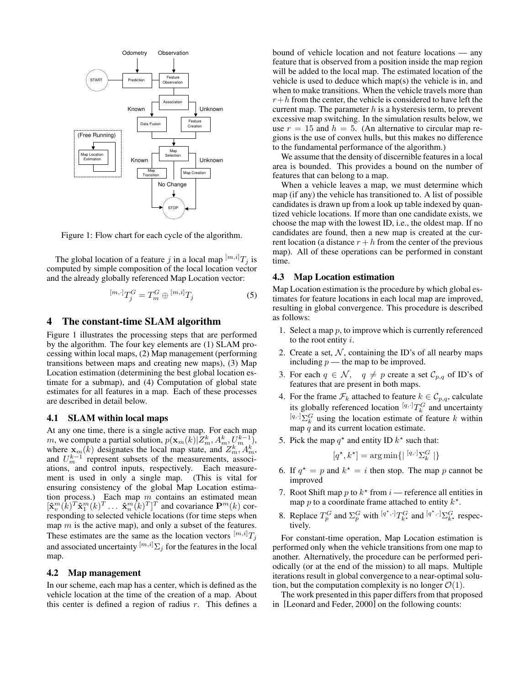

Figure 1: Flow chart for each cycle of the algorithm.

The global location of a feature j in a local map  $\lfloor m,i \rfloor T_j$  is computed by simple composition of the local location vector and the already globally referenced Map Location vector:

$$
{}^{[m,\cdot]}T_j^G = T_m^G \oplus {}^{[m,i]}T_j \tag{5}
$$

### **4 The constant-time SLAM algorithm**

Figure 1 illustrates the processing steps that are performed by the algorithm. The four key elements are (1) SLAM processing within local maps, (2) Map management (performing transitions between maps and creating new maps), (3) Map Location estimation (determining the best global location estimate for a submap), and (4) Computation of global state estimates for all features in a map. Each of these processes are described in detail below.

#### **4.1 SLAM within local maps**

At any one time, there is a single active map. For each map m, we compute a partial solution,  $p(\mathbf{x}_m(k)|Z_m^k, A_m^k, U_m^{k-1})$ , where  $\mathbf{x}_m(k)$  designates the local map state, and  $Z_m^k$ ,  $A_m^k$ , and  $U_m^{k-1}$  represent subsets of the measurements, associations, and control inputs, respectively. Each measurement is used in only a single map. (This is vital for ensuring consistency of the global Map Location estimation process.) Each map  $m$  contains an estimated mean  $[\mathbf{\hat{x}}_v^m(\bar{k})^T \mathbf{\hat{x}}_1^m(k)^T \dots \mathbf{\hat{x}}_n^m(\bar{k})^T]^T$  and covariance  $\mathbf{P}^m(k)$  corresponding to selected vehicle locations (for time steps when map  $m$  is the active map), and only a subset of the features. These estimates are the same as the location vectors  $[m,i]T_j$ and associated uncertainty  $\left[m,i\right]\sum_{i}$  for the features in the local map.

#### **4.2 Map management**

In our scheme, each map has a center, which is defined as the vehicle location at the time of the creation of a map. About this center is defined a region of radius  $r$ . This defines a bound of vehicle location and not feature locations — any feature that is observed from a position inside the map region will be added to the local map. The estimated location of the vehicle is used to deduce which map(s) the vehicle is in, and when to make transitions. When the vehicle travels more than  $r+h$  from the center, the vehicle is considered to have left the current map. The parameter  $h$  is a hysteresis term, to prevent excessive map switching. In the simulation results below, we use  $r = 15$  and  $h = 5$ . (An alternative to circular map regions is the use of convex hulls, but this makes no difference to the fundamental performance of the algorithm.)

We assume that the density of discernible features in a local area is bounded. This provides a bound on the number of features that can belong to a map.

When a vehicle leaves a map, we must determine which map (if any) the vehicle has transitioned to. A list of possible candidates is drawn up from a look up table indexed by quantized vehicle locations. If more than one candidate exists, we choose the map with the lowest ID, i.e., the oldest map. If no candidates are found, then a new map is created at the current location (a distance  $r + h$  from the center of the previous map). All of these operations can be performed in constant time.

#### **4.3 Map Location estimation**

Map Location estimation is the procedure by which global estimates for feature locations in each local map are improved, resulting in global convergence. This procedure is described as follows:

- 1. Select a map  $p$ , to improve which is currently referenced to the root entity  $i$ .
- 2. Create a set,  $N$ , containing the ID's of all nearby maps including  $p$  — the map to be improved.
- 3. For each  $q \in \mathcal{N}$ ,  $q \neq p$  create a set  $\mathcal{C}_{p,q}$  of ID's of features that are present in both maps.
- 4. For the frame  $\mathcal{F}_k$  attached to feature  $k \in \mathcal{C}_{p,q}$ , calculate its globally referenced location  $[q, \cdot]T_k^G$  and uncertainty  $[q, \cdot]$   $\Sigma_k^G$  using the location estimate of feature k within map  $q$  and its current location estimate.
- 5. Pick the map  $q^*$  and entity ID  $k^*$  such that:

$$
[q^\star, k^\star] = \arg\min\{|\,{}^{[q,\cdot]}\Sigma_k^G\,|\}
$$

- 6. If  $q^* = p$  and  $k^* = i$  then stop. The map p cannot be improved
- 7. Root Shift map p to  $k^*$  from i reference all entities in map p to a coordinate frame attached to entity  $k^*$ .
- 8. Replace  $T_p^G$  and  $\Sigma_p^G$  with  $[q^*, \cdot]_{T_{k^*}^G}$  and  $[q^*, \cdot]_{\Sigma_{k^*}^G}$  respectively.

For constant-time operation, Map Location estimation is performed only when the vehicle transitions from one map to another. Alternatively, the procedure can be performed periodically (or at the end of the mission) to all maps. Multiple iterations result in global convergence to a near-optimal solution, but the computation complexity is no longer  $\mathcal{O}(1)$ .

The work presented in this paper differs from that proposed in [Leonard and Feder, 2000] on the following counts: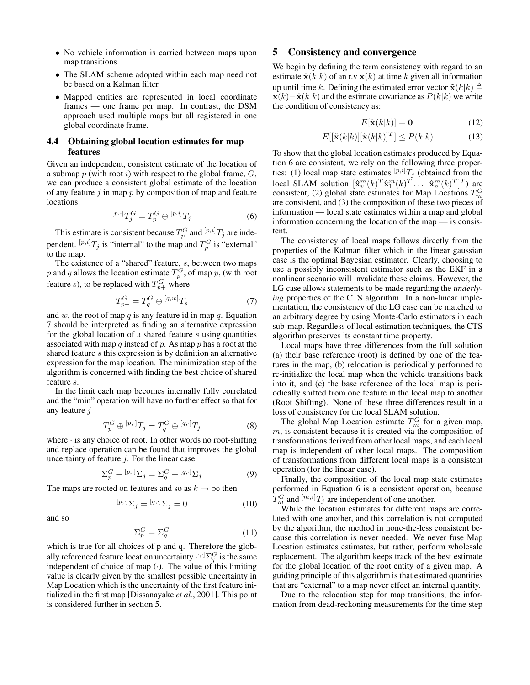- No vehicle information is carried between maps upon map transitions
- The SLAM scheme adopted within each map need not be based on a Kalman filter.
- Mapped entities are represented in local coordinate frames — one frame per map. In contrast, the DSM approach used multiple maps but all registered in one global coordinate frame.

# **4.4 Obtaining global location estimates for map features**

Given an independent, consistent estimate of the location of a submap  $p$  (with root i) with respect to the global frame,  $G$ , we can produce a consistent global estimate of the location of any feature  $j$  in map  $p$  by composition of map and feature locations:

$$
[p,\cdot]T_j^G = T_p^G \oplus [p,i]T_j \tag{6}
$$

This estimate is consistent because  $T_p^G$  and  $\left[ p,i \right] T_j$  are independent.  ${}^{[p,i]}T_j$  is "internal" to the map and  $T_p^G$  is "external" to the map.

The existence of a "shared" feature, s, between two maps p and q allows the location estimate  $T_p^G$ , of map p, (with root feature *s*), to be replaced with  $T_{p+}^G$  where

$$
T_{p+}^G = T_q^G \oplus \, ^{[q,w]}T_s \tag{7}
$$

and  $w$ , the root of map  $q$  is any feature id in map  $q$ . Equation 7 should be interpreted as finding an alternative expression for the global location of a shared feature s using quantities associated with map q instead of p. As map p has a root at the shared feature s this expression is by definition an alternative expression for the map location. The minimization step of the algorithm is concerned with finding the best choice of shared feature s.

In the limit each map becomes internally fully correlated and the "min" operation will have no further effect so that for any feature *j* 

$$
T_p^G \oplus [p, \cdot] T_j = T_q^G \oplus [q, \cdot] T_j \tag{8}
$$

where  $\cdot$  is any choice of root. In other words no root-shifting and replace operation can be found that improves the global uncertainty of feature  $j$ . For the linear case

$$
\Sigma_p^G + {}^{[p,\cdot]}\Sigma_j = \Sigma_q^G + {}^{[q,\cdot]}\Sigma_j
$$
\n(9)

The maps are rooted on features and so as  $k \to \infty$  then

$$
{}^{[p,\cdot]}\Sigma_j = {}^{[q,\cdot]}\Sigma_j = 0 \tag{10}
$$

and so

$$
\Sigma_p^G = \Sigma_q^G \tag{11}
$$

which is true for all choices of p and q. Therefore the globally referenced feature location uncertainty  $[\cdot,\cdot] \sum_j G$  is the same independent of choice of map  $(\cdot)$ . The value of this limiting value is clearly given by the smallest possible uncertainty in Map Location which is the uncertainty of the first feature initialized in the first map [Dissanayake *et al.*, 2001]. This point is considered further in section 5.

# **5 Consistency and convergence**

We begin by defining the term consistency with regard to an estimate  $\hat{\mathbf{x}}(k|k)$  of an r.v  $\mathbf{x}(k)$  at time k given all information up until time k. Defining the estimated error vector  $\tilde{\mathbf{x}}(k|k) \triangleq$  $\mathbf{x}(k) - \hat{\mathbf{x}}(k|k)$  and the estimate covariance as  $P(k|k)$  we write the condition of consistency as:

$$
E[\tilde{\mathbf{x}}(k|k)] = \mathbf{0} \tag{12}
$$

$$
E\left[\left[\tilde{\mathbf{x}}(k|k)\right]\left[\tilde{\mathbf{x}}(k|k)\right]^T\right] \le P(k|k)
$$
\n(13)

To show that the global location estimates produced by Equation 6 are consistent, we rely on the following three properties: (1) local map state estimates  $[p,i]T_j$  (obtained from the local SLAM solution  $[\mathbf{\hat{x}}_v^m(k)^T \mathbf{\hat{x}}_1^m(k)^T \dots \mathbf{\hat{x}}_n^m(k)^T]^T$  are consistent, (2) global state estimates for Map Locations  $T_m^G$ are consistent, and (3) the composition of these two pieces of information — local state estimates within a map and global information concerning the location of the map — is consistent.

The consistency of local maps follows directly from the properties of the Kalman filter which in the linear gaussian case is the optimal Bayesian estimator. Clearly, choosing to use a possibly inconsistent estimator such as the EKF in a nonlinear scenario will invalidate these claims. However, the LG case allows statements to be made regarding the *underlying* properties of the CTS algorithm. In a non-linear implementation, the consistency of the LG case can be matched to an arbitrary degree by using Monte-Carlo estimators in each sub-map. Regardless of local estimation techniques, the CTS algorithm preserves its constant time property.

Local maps have three differences from the full solution (a) their base reference (root) is defined by one of the features in the map, (b) relocation is periodically performed to re-initialize the local map when the vehicle transitions back into it, and (c) the base reference of the local map is periodically shifted from one feature in the local map to another (Root Shifting). None of these three differences result in a loss of consistency for the local SLAM solution.

The global Map Location estimate  $T_m^G$  for a given map, m, is consistent because it is created via the composition of transformations derived from other local maps, and each local map is independent of other local maps. The composition of transformations from different local maps is a consistent operation (for the linear case).

Finally, the composition of the local map state estimates performed in Equation 6 is a consistent operation, because  $T_m^G$  and  ${}^{[m,i]}T_j$  are independent of one another.

While the location estimates for different maps are correlated with one another, and this correlation is not computed by the algorithm, the method in none-the-less consistent because this correlation is never needed. We never fuse Map Location estimates estimates, but rather, perform wholesale replacement. The algorithm keeps track of the best estimate for the global location of the root entity of a given map. A guiding principle of this algorithm is that estimated quantities that are "external" to a map never effect an internal quantity.

Due to the relocation step for map transitions, the information from dead-reckoning measurements for the time step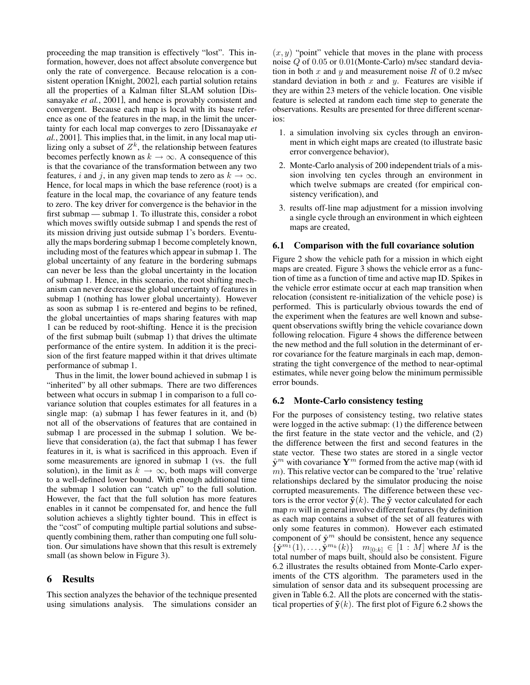proceeding the map transition is effectively "lost". This information, however, does not affect absolute convergence but only the rate of convergence. Because relocation is a consistent operation [Knight, 2002], each partial solution retains all the properties of a Kalman filter SLAM solution [Dissanayake *et al.*, 2001], and hence is provably consistent and convergent. Because each map is local with its base reference as one of the features in the map, in the limit the uncertainty for each local map converges to zero [Dissanayake *et al.*, 2001]. This implies that, in the limit, in any local map utilizing only a subset of  $Z^k$ , the relationship between features becomes perfectly known as  $k \to \infty$ . A consequence of this is that the covariance of the transformation between any two features, i and j, in any given map tends to zero as  $k \to \infty$ . Hence, for local maps in which the base reference (root) is a feature in the local map, the covariance of any feature tends to zero. The key driver for convergence is the behavior in the first submap — submap 1. To illustrate this, consider a robot which moves swiftly outside submap 1 and spends the rest of its mission driving just outside submap 1's borders. Eventually the maps bordering submap 1 become completely known, including most of the features which appear in submap 1. The global uncertainty of any feature in the bordering submaps can never be less than the global uncertainty in the location of submap 1. Hence, in this scenario, the root shifting mechanism can never decrease the global uncertainty of features in submap 1 (nothing has lower global uncertainty). However as soon as submap 1 is re-entered and begins to be refined, the global uncertainties of maps sharing features with map 1 can be reduced by root-shifting. Hence it is the precision of the first submap built (submap 1) that drives the ultimate performance of the entire system. In addition it is the precision of the first feature mapped within it that drives ultimate performance of submap 1.

Thus in the limit, the lower bound achieved in submap 1 is "inherited" by all other submaps. There are two differences between what occurs in submap 1 in comparison to a full covariance solution that couples estimates for all features in a single map: (a) submap 1 has fewer features in it, and (b) not all of the observations of features that are contained in submap 1 are processed in the submap 1 solution. We believe that consideration (a), the fact that submap 1 has fewer features in it, is what is sacrificed in this approach. Even if some measurements are ignored in submap 1 (vs. the full solution), in the limit as  $k \to \infty$ , both maps will converge to a well-defined lower bound. With enough additional time the submap 1 solution can "catch up" to the full solution. However, the fact that the full solution has more features enables in it cannot be compensated for, and hence the full solution achieves a slightly tighter bound. This in effect is the "cost" of computing multiple partial solutions and subsequently combining them, rather than computing one full solution. Our simulations have shown that this result is extremely small (as shown below in Figure 3).

## **6 Results**

This section analyzes the behavior of the technique presented using simulations analysis. The simulations consider an  $(x, y)$  "point" vehicle that moves in the plane with process noise Q of 0.05 or 0.01(Monte-Carlo) m/sec standard deviation in both  $x$  and  $y$  and measurement noise  $R$  of 0.2 m/sec standard deviation in both  $x$  and  $y$ . Features are visible if they are within 23 meters of the vehicle location. One visible feature is selected at random each time step to generate the observations. Results are presented for three different scenarios:

- 1. a simulation involving six cycles through an environment in which eight maps are created (to illustrate basic error convergence behavior),
- 2. Monte-Carlo analysis of 200 independent trials of a mission involving ten cycles through an environment in which twelve submaps are created (for empirical consistency verification), and
- 3. results off-line map adjustment for a mission involving a single cycle through an environment in which eighteen maps are created,

### **6.1 Comparison with the full covariance solution**

Figure 2 show the vehicle path for a mission in which eight maps are created. Figure 3 shows the vehicle error as a function of time as a function of time and active map ID. Spikes in the vehicle error estimate occur at each map transition when relocation (consistent re-initialization of the vehicle pose) is performed. This is particularly obvious towards the end of the experiment when the features are well known and subsequent observations swiftly bring the vehicle covariance down following relocation. Figure 4 shows the difference between the new method and the full solution in the determinant of error covariance for the feature marginals in each map, demonstrating the tight convergence of the method to near-optimal estimates, while never going below the minimum permissible error bounds.

# **6.2 Monte-Carlo consistency testing**

For the purposes of consistency testing, two relative states were logged in the active submap: (1) the difference between the first feature in the state vector and the vehicle, and (2) the difference between the first and second features in the state vector. These two states are stored in a single vector  $\hat{y}^m$  with covariance  $Y^m$  formed from the active map (with id  $m$ ). This relative vector can be compared to the 'true' relative relationships declared by the simulator producing the noise corrupted measurements. The difference between these vectors is the error vector  $\tilde{\mathbf{y}}(k)$ . The  $\tilde{\mathbf{y}}$  vector calculated for each map  $m$  will in general involve different features (by definition as each map contains a subset of the set of all features with only some features in common). However each estimated component of  $\hat{y}^m$  should be consistent, hence any sequence  ${\hat{\mathbf{y}}^{m_1}(1), \ldots, \hat{\mathbf{y}}^{m_k}(k)}$   $m_{[0:k]} \in [1:M]$  where M is the total number of maps built, should also be consistent. Figure 6.2 illustrates the results obtained from Monte-Carlo experiments of the CTS algorithm. The parameters used in the simulation of sensor data and its subsequent processing are given in Table 6.2. All the plots are concerned with the statistical properties of  $\tilde{\mathbf{y}}(k)$ . The first plot of Figure 6.2 shows the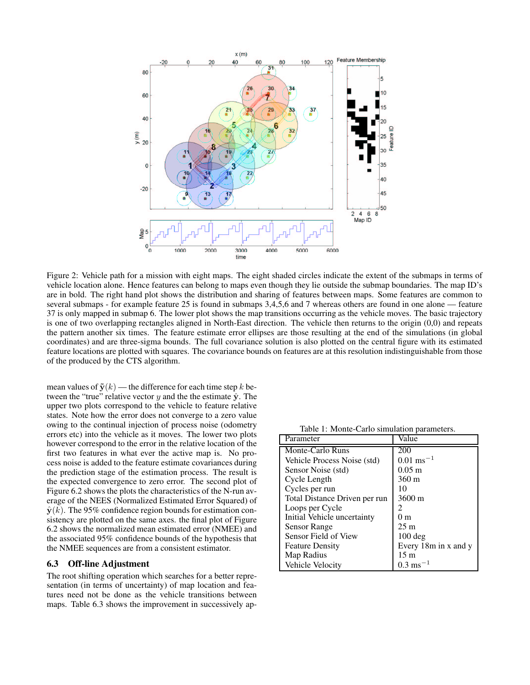

Figure 2: Vehicle path for a mission with eight maps. The eight shaded circles indicate the extent of the submaps in terms of vehicle location alone. Hence features can belong to maps even though they lie outside the submap boundaries. The map ID's are in bold. The right hand plot shows the distribution and sharing of features between maps. Some features are common to several submaps - for example feature 25 is found in submaps 3,4,5,6 and 7 whereas others are found in one alone — feature 37 is only mapped in submap 6. The lower plot shows the map transitions occurring as the vehicle moves. The basic trajectory is one of two overlapping rectangles aligned in North-East direction. The vehicle then returns to the origin (0,0) and repeats the pattern another six times. The feature estimate error ellipses are those resulting at the end of the simulations (in global coordinates) and are three-sigma bounds. The full covariance solution is also plotted on the central figure with its estimated feature locations are plotted with squares. The covariance bounds on features are at this resolution indistinguishable from those of the produced by the CTS algorithm.

mean values of  $\tilde{\mathbf{y}}(k)$  — the difference for each time step k between the "true" relative vector y and the the estimate  $\hat{y}$ . The upper two plots correspond to the vehicle to feature relative states. Note how the error does not converge to a zero value owing to the continual injection of process noise (odometry errors etc) into the vehicle as it moves. The lower two plots however correspond to the error in the relative location of the first two features in what ever the active map is. No process noise is added to the feature estimate covariances during the prediction stage of the estimation process. The result is the expected convergence to zero error. The second plot of Figure 6.2 shows the plots the characteristics of the N-run average of the NEES (Normalized Estimated Error Squared) of  $\hat{y}(k)$ . The 95% confidence region bounds for estimation consistency are plotted on the same axes. the final plot of Figure 6.2 shows the normalized mean estimated error (NMEE) and the associated 95% confidence bounds of the hypothesis that the NMEE sequences are from a consistent estimator.

### **6.3 Off-line Adjustment**

The root shifting operation which searches for a better representation (in terms of uncertainty) of map location and features need not be done as the vehicle transitions between maps. Table 6.3 shows the improvement in successively ap-

Table 1: Monte-Carlo simulation parameters.

| Parameter                     | Value                  |  |
|-------------------------------|------------------------|--|
| Monte-Carlo Runs              | 200                    |  |
| Vehicle Process Noise (std)   | $0.01 \text{ ms}^{-1}$ |  |
| Sensor Noise (std)            | $0.05$ m               |  |
| Cycle Length                  | 360 m                  |  |
| Cycles per run                | 10                     |  |
| Total Distance Driven per run | $3600 \,\mathrm{m}$    |  |
| Loops per Cycle               | 2                      |  |
| Initial Vehicle uncertainty   | 0 <sub>m</sub>         |  |
| Sensor Range                  | 25 <sub>m</sub>        |  |
| Sensor Field of View          | $100 \text{ deg}$      |  |
| <b>Feature Density</b>        | Every 18m in x and y   |  |
| Map Radius                    | 15 <sub>m</sub>        |  |
| Vehicle Velocity              | $0.3 \text{ ms}^{-1}$  |  |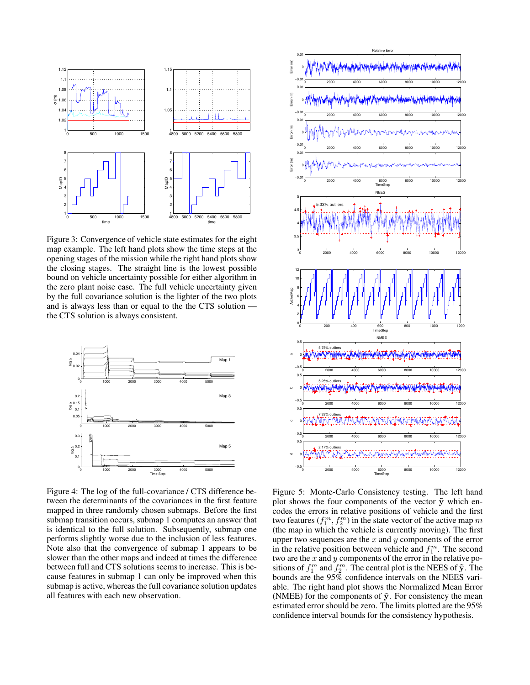

Figure 3: Convergence of vehicle state estimates for the eight map example. The left hand plots show the time steps at the opening stages of the mission while the right hand plots show the closing stages. The straight line is the lowest possible bound on vehicle uncertainty possible for either algorithm in the zero plant noise case. The full vehicle uncertainty given by the full covariance solution is the lighter of the two plots and is always less than or equal to the the CTS solution the CTS solution is always consistent.



Figure 4: The log of the full-covariance / CTS difference between the determinants of the covariances in the first feature mapped in three randomly chosen submaps. Before the first submap transition occurs, submap 1 computes an answer that is identical to the full solution. Subsequently, submap one performs slightly worse due to the inclusion of less features. Note also that the convergence of submap 1 appears to be slower than the other maps and indeed at times the difference between full and CTS solutions seems to increase. This is because features in submap 1 can only be improved when this submap is active, whereas the full covariance solution updates all features with each new observation.



Figure 5: Monte-Carlo Consistency testing. The left hand plot shows the four components of the vector  $\tilde{y}$  which encodes the errors in relative positions of vehicle and the first two features  $(f_1^m, f_2^m)$  in the state vector of the active map  $m$ (the map in which the vehicle is currently moving). The first upper two sequences are the  $x$  and  $y$  components of the error in the relative position between vehicle and  $f_1^m$ . The second two are the  $x$  and  $y$  components of the error in the relative positions of  $f_1^m$  and  $f_2^m$ . The central plot is the NEES of  $\tilde{\mathbf{y}}$ . The bounds are the 95% confidence intervals on the NEES variable. The right hand plot shows the Normalized Mean Error (NMEE) for the components of  $\tilde{y}$ . For consistency the mean estimated error should be zero. The limits plotted are the 95% confidence interval bounds for the consistency hypothesis.